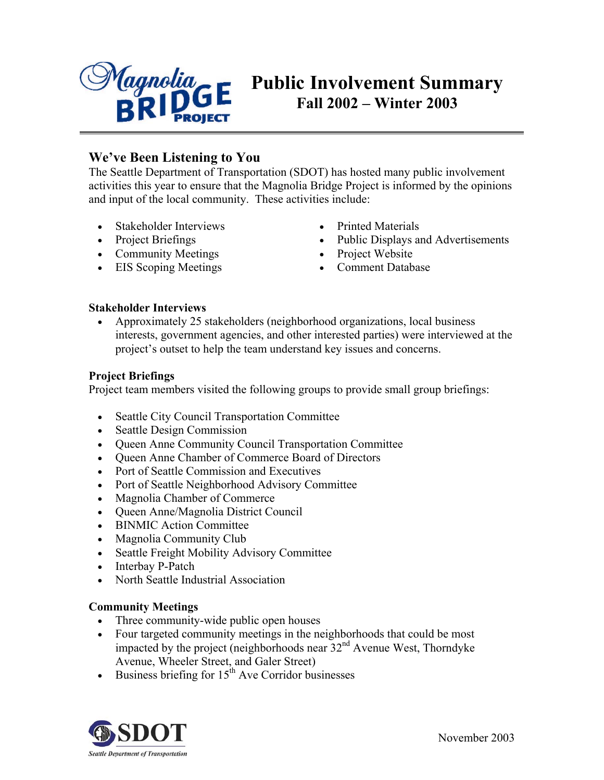

# **Public Involvement Summary Fall 2002 – Winter 2003**

# **We've Been Listening to You**

The Seattle Department of Transportation (SDOT) has hosted many public involvement activities this year to ensure that the Magnolia Bridge Project is informed by the opinions and input of the local community. These activities include:

- Stakeholder Interviews
- Project Briefings
- Community Meetings
- EIS Scoping Meetings
- Printed Materials
- Public Displays and Advertisements
- Project Website
- Comment Database

## **Stakeholder Interviews**

• Approximately 25 stakeholders (neighborhood organizations, local business interests, government agencies, and other interested parties) were interviewed at the project's outset to help the team understand key issues and concerns.

## **Project Briefings**

Project team members visited the following groups to provide small group briefings:

- Seattle City Council Transportation Committee
- Seattle Design Commission
- Queen Anne Community Council Transportation Committee
- Queen Anne Chamber of Commerce Board of Directors
- Port of Seattle Commission and Executives
- Port of Seattle Neighborhood Advisory Committee
- Magnolia Chamber of Commerce
- Queen Anne/Magnolia District Council
- BINMIC Action Committee
- Magnolia Community Club
- Seattle Freight Mobility Advisory Committee
- Interbay P-Patch
- North Seattle Industrial Association

## **Community Meetings**

- Three community-wide public open houses
- Four targeted community meetings in the neighborhoods that could be most impacted by the project (neighborhoods near 32nd Avenue West, Thorndyke Avenue, Wheeler Street, and Galer Street)
- Business briefing for  $15<sup>th</sup>$  Ave Corridor businesses